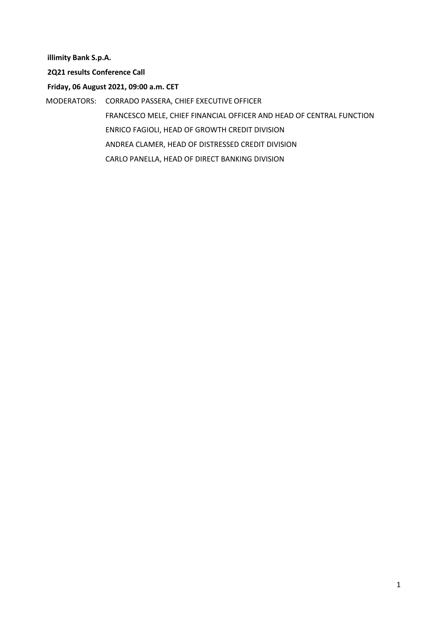**illimity Bank S.p.A.**

**2Q21 results Conference Call**

**Friday, 06 August 2021, 09:00 a.m. CET**

MODERATORS: CORRADO PASSERA, CHIEF EXECUTIVE OFFICER

FRANCESCO MELE, CHIEF FINANCIAL OFFICER AND HEAD OF CENTRAL FUNCTION ENRICO FAGIOLI, HEAD OF GROWTH CREDIT DIVISION ANDREA CLAMER, HEAD OF DISTRESSED CREDIT DIVISION CARLO PANELLA, HEAD OF DIRECT BANKING DIVISION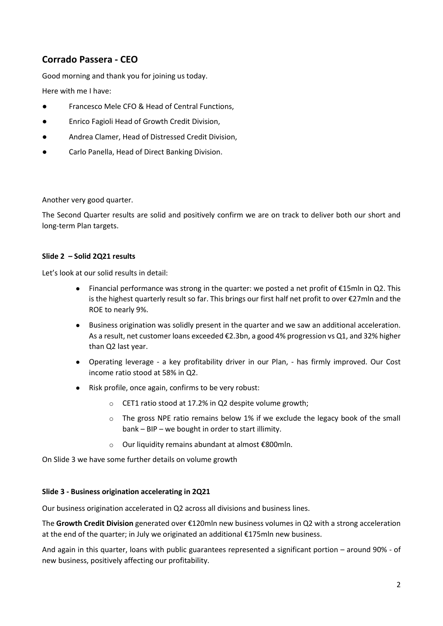# **Corrado Passera - CEO**

Good morning and thank you for joining us today.

Here with me I have:

- Francesco Mele CFO & Head of Central Functions,
- Enrico Fagioli Head of Growth Credit Division,
- Andrea Clamer, Head of Distressed Credit Division,
- Carlo Panella, Head of Direct Banking Division.

Another very good quarter.

The Second Quarter results are solid and positively confirm we are on track to deliver both our short and long-term Plan targets.

#### **Slide 2 – Solid 2Q21 results**

Let's look at our solid results in detail:

- Financial performance was strong in the quarter: we posted a net profit of €15mln in Q2. This is the highest quarterly result so far. This brings our first half net profit to over €27mln and the ROE to nearly 9%.
- Business origination was solidly present in the quarter and we saw an additional acceleration. As a result, net customer loans exceeded €2.3bn, a good 4% progression vs Q1, and 32% higher than Q2 last year.
- Operating leverage a key profitability driver in our Plan, has firmly improved. Our Cost income ratio stood at 58% in Q2.
- Risk profile, once again, confirms to be very robust:
	- o CET1 ratio stood at 17.2% in Q2 despite volume growth;
	- o The gross NPE ratio remains below 1% if we exclude the legacy book of the small bank – BIP – we bought in order to start illimity.
	- o Our liquidity remains abundant at almost €800mln.

On Slide 3 we have some further details on volume growth

#### **Slide 3 - Business origination accelerating in 2Q21**

Our business origination accelerated in Q2 across all divisions and business lines.

The **Growth Credit Division** generated over €120mln new business volumes in Q2 with a strong acceleration at the end of the quarter; in July we originated an additional €175mln new business.

And again in this quarter, loans with public guarantees represented a significant portion – around 90% - of new business, positively affecting our profitability.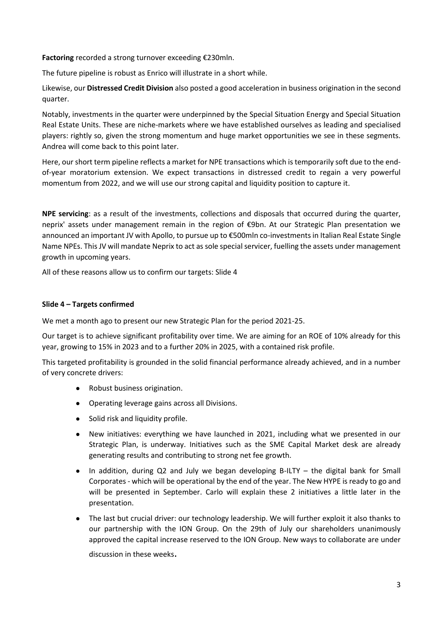**Factoring** recorded a strong turnover exceeding €230mln.

The future pipeline is robust as Enrico will illustrate in a short while.

Likewise, our **Distressed Credit Division** also posted a good acceleration in business origination in the second quarter.

Notably, investments in the quarter were underpinned by the Special Situation Energy and Special Situation Real Estate Units. These are niche-markets where we have established ourselves as leading and specialised players: rightly so, given the strong momentum and huge market opportunities we see in these segments. Andrea will come back to this point later.

Here, our short term pipeline reflects a market for NPE transactions which is temporarily soft due to the endof-year moratorium extension. We expect transactions in distressed credit to regain a very powerful momentum from 2022, and we will use our strong capital and liquidity position to capture it.

**NPE servicing**: as a result of the investments, collections and disposals that occurred during the quarter, neprix' assets under management remain in the region of €9bn. At our Strategic Plan presentation we announced an important JV with Apollo, to pursue up to €500mln co-investments in Italian Real Estate Single Name NPEs. This JV will mandate Neprix to act as sole special servicer, fuelling the assets under management growth in upcoming years.

All of these reasons allow us to confirm our targets: Slide 4

#### **Slide 4 – Targets confirmed**

We met a month ago to present our new Strategic Plan for the period 2021-25.

Our target is to achieve significant profitability over time. We are aiming for an ROE of 10% already for this year, growing to 15% in 2023 and to a further 20% in 2025, with a contained risk profile.

This targeted profitability is grounded in the solid financial performance already achieved, and in a number of very concrete drivers:

- Robust business origination.
- Operating leverage gains across all Divisions.
- Solid risk and liquidity profile.
- New initiatives: everything we have launched in 2021, including what we presented in our Strategic Plan, is underway. Initiatives such as the SME Capital Market desk are already generating results and contributing to strong net fee growth.
- In addition, during Q2 and July we began developing B-ILTY the digital bank for Small Corporates - which will be operational by the end of the year. The New HYPE is ready to go and will be presented in September. Carlo will explain these 2 initiatives a little later in the presentation.
- The last but crucial driver: our technology leadership. We will further exploit it also thanks to our partnership with the ION Group. On the 29th of July our shareholders unanimously approved the capital increase reserved to the ION Group. New ways to collaborate are under

discussion in these weeks.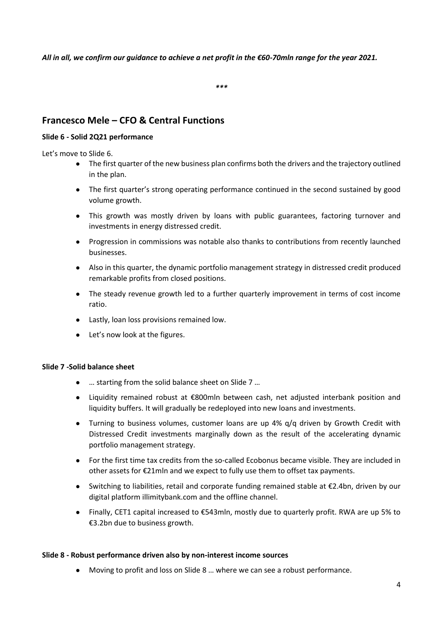*All in all, we confirm our guidance to achieve a net profit in the €60-70mln range for the year 2021.*

*\*\*\**

# **Francesco Mele – CFO & Central Functions**

# **Slide 6 - Solid 2Q21 performance**

Let's move to Slide 6.

- The first quarter of the new business plan confirms both the drivers and the trajectory outlined in the plan.
- The first quarter's strong operating performance continued in the second sustained by good volume growth.
- This growth was mostly driven by loans with public guarantees, factoring turnover and investments in energy distressed credit.
- Progression in commissions was notable also thanks to contributions from recently launched businesses.
- Also in this quarter, the dynamic portfolio management strategy in distressed credit produced remarkable profits from closed positions.
- The steady revenue growth led to a further quarterly improvement in terms of cost income ratio.
- Lastly, loan loss provisions remained low.
- Let's now look at the figures.

# **Slide 7 -Solid balance sheet**

- … starting from the solid balance sheet on Slide 7 …
- Liquidity remained robust at €800mln between cash, net adjusted interbank position and liquidity buffers. It will gradually be redeployed into new loans and investments.
- Turning to business volumes, customer loans are up 4%  $q/q$  driven by Growth Credit with Distressed Credit investments marginally down as the result of the accelerating dynamic portfolio management strategy.
- For the first time tax credits from the so-called Ecobonus became visible. They are included in other assets for €21mln and we expect to fully use them to offset tax payments.
- Switching to liabilities, retail and corporate funding remained stable at €2.4bn, driven by our digital platform illimitybank.com and the offline channel.
- Finally, CET1 capital increased to €543mln, mostly due to quarterly profit. RWA are up 5% to €3.2bn due to business growth.

# **Slide 8 - Robust performance driven also by non-interest income sources**

● Moving to profit and loss on Slide 8 … where we can see a robust performance.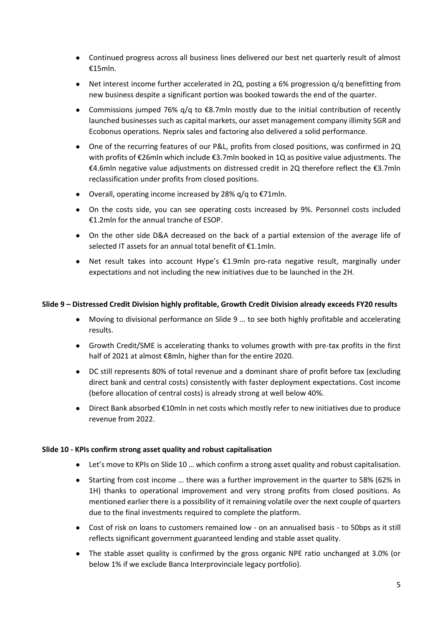- Continued progress across all business lines delivered our best net quarterly result of almost €15mln.
- Net interest income further accelerated in 2Q, posting a 6% progression q/q benefitting from new business despite a significant portion was booked towards the end of the quarter.
- Commissions jumped 76% q/q to €8.7mln mostly due to the initial contribution of recently launched businesses such as capital markets, our asset management company illimity SGR and Ecobonus operations. Neprix sales and factoring also delivered a solid performance.
- One of the recurring features of our P&L, profits from closed positions, was confirmed in 2Q with profits of €26mln which include €3.7mln booked in 1Q as positive value adjustments. The €4.6mln negative value adjustments on distressed credit in 2Q therefore reflect the €3.7mln reclassification under profits from closed positions.
- $\bullet$  Overall, operating income increased by 28%  $q/q$  to €71mln.
- On the costs side, you can see operating costs increased by 9%. Personnel costs included €1.2mln for the annual tranche of ESOP.
- On the other side D&A decreased on the back of a partial extension of the average life of selected IT assets for an annual total benefit of €1.1mln.
- Net result takes into account Hype's €1.9mln pro-rata negative result, marginally under expectations and not including the new initiatives due to be launched in the 2H.

#### **Slide 9 – Distressed Credit Division highly profitable, Growth Credit Division already exceeds FY20 results**

- Moving to divisional performance on Slide 9 … to see both highly profitable and accelerating results.
- Growth Credit/SME is accelerating thanks to volumes growth with pre-tax profits in the first half of 2021 at almost €8mln, higher than for the entire 2020.
- DC still represents 80% of total revenue and a dominant share of profit before tax (excluding direct bank and central costs) consistently with faster deployment expectations. Cost income (before allocation of central costs) is already strong at well below 40%.
- Direct Bank absorbed €10mln in net costs which mostly refer to new initiatives due to produce revenue from 2022.

#### **Slide 10 - KPIs confirm strong asset quality and robust capitalisation**

- Let's move to KPIs on Slide 10 ... which confirm a strong asset quality and robust capitalisation.
- Starting from cost income … there was a further improvement in the quarter to 58% (62% in 1H) thanks to operational improvement and very strong profits from closed positions. As mentioned earlier there is a possibility of it remaining volatile over the next couple of quarters due to the final investments required to complete the platform.
- Cost of risk on loans to customers remained low on an annualised basis to 50bps as it still reflects significant government guaranteed lending and stable asset quality.
- The stable asset quality is confirmed by the gross organic NPE ratio unchanged at 3.0% (or below 1% if we exclude Banca Interprovinciale legacy portfolio).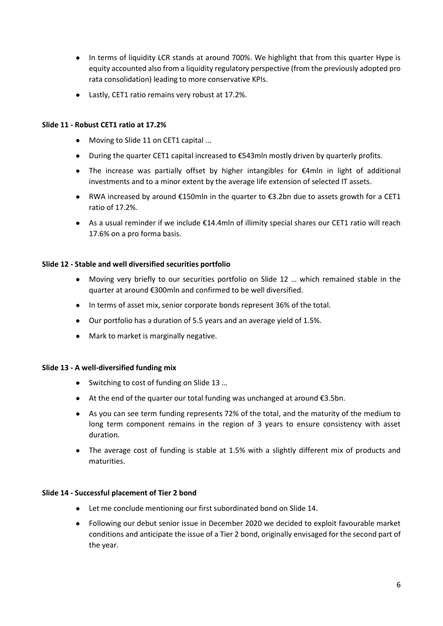- In terms of liquidity LCR stands at around 700%. We highlight that from this quarter Hype is equity accounted also from a liquidity regulatory perspective (from the previously adopted pro rata consolidation) leading to more conservative KPIs.
- Lastly, CET1 ratio remains very robust at 17.2%.

#### **Slide 11 - Robust CET1 ratio at 17.2%**

- Moving to Slide 11 on CET1 capital ...
- During the quarter CET1 capital increased to €543mln mostly driven by quarterly profits.
- The increase was partially offset by higher intangibles for €4mln in light of additional investments and to a minor extent by the average life extension of selected IT assets.
- RWA increased by around €150mln in the quarter to €3.2bn due to assets growth for a CET1 ratio of 17.2%.
- As a usual reminder if we include €14.4mln of illimity special shares our CET1 ratio will reach 17.6% on a pro forma basis.

#### **Slide 12 - Stable and well diversified securities portfolio**

- Moving very briefly to our securities portfolio on Slide 12 … which remained stable in the quarter at around €300mln and confirmed to be well diversified.
- In terms of asset mix, senior corporate bonds represent 36% of the total.
- Our portfolio has a duration of 5.5 years and an average yield of 1.5%.
- Mark to market is marginally negative.

#### **Slide 13 - A well-diversified funding mix**

- Switching to cost of funding on Slide 13 …
- At the end of the quarter our total funding was unchanged at around €3.5bn.
- As you can see term funding represents 72% of the total, and the maturity of the medium to long term component remains in the region of 3 years to ensure consistency with asset duration.
- The average cost of funding is stable at 1.5% with a slightly different mix of products and maturities.

#### **Slide 14 - Successful placement of Tier 2 bond**

- Let me conclude mentioning our first subordinated bond on Slide 14.
- Following our debut senior issue in December 2020 we decided to exploit favourable market conditions and anticipate the issue of a Tier 2 bond, originally envisaged for the second part of the year.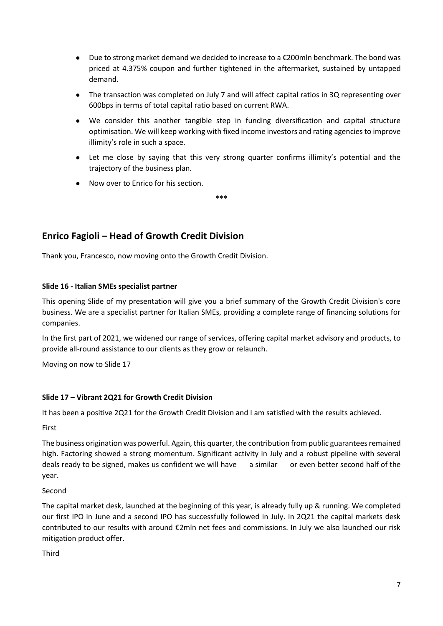- Due to strong market demand we decided to increase to a €200mln benchmark. The bond was priced at 4.375% coupon and further tightened in the aftermarket, sustained by untapped demand.
- The transaction was completed on July 7 and will affect capital ratios in 3Q representing over 600bps in terms of total capital ratio based on current RWA.
- We consider this another tangible step in funding diversification and capital structure optimisation. We will keep working with fixed income investors and rating agencies to improve illimity's role in such a space.
- Let me close by saying that this very strong quarter confirms illimity's potential and the trajectory of the business plan.
- Now over to Enrico for his section.

# **Enrico Fagioli – Head of Growth Credit Division**

Thank you, Francesco, now moving onto the Growth Credit Division.

# **Slide 16 - Italian SMEs specialist partner**

This opening Slide of my presentation will give you a brief summary of the Growth Credit Division's core business. We are a specialist partner for Italian SMEs, providing a complete range of financing solutions for companies.

**\*\*\***

In the first part of 2021, we widened our range of services, offering capital market advisory and products, to provide all-round assistance to our clients as they grow or relaunch.

Moving on now to Slide 17

# **Slide 17 – Vibrant 2Q21 for Growth Credit Division**

It has been a positive 2Q21 for the Growth Credit Division and I am satisfied with the results achieved.

First

The business origination was powerful. Again, this quarter, the contribution from public guarantees remained high. Factoring showed a strong momentum. Significant activity in July and a robust pipeline with several deals ready to be signed, makes us confident we will have a similar or even better second half of the year.

Second

The capital market desk, launched at the beginning of this year, is already fully up & running. We completed our first IPO in June and a second IPO has successfully followed in July. In 2Q21 the capital markets desk contributed to our results with around €2mln net fees and commissions. In July we also launched our risk mitigation product offer.

Third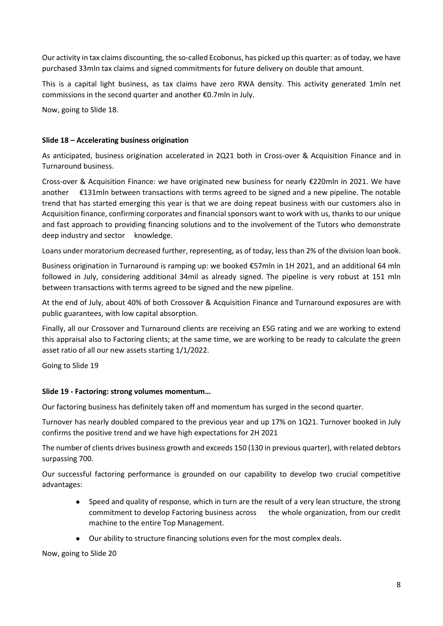Our activity in tax claims discounting, the so-called Ecobonus, has picked up this quarter: as of today, we have purchased 33mln tax claims and signed commitments for future delivery on double that amount.

This is a capital light business, as tax claims have zero RWA density. This activity generated 1mln net commissions in the second quarter and another €0.7mln in July.

Now, going to Slide 18.

### **Slide 18 – Accelerating business origination**

As anticipated, business origination accelerated in 2Q21 both in Cross-over & Acquisition Finance and in Turnaround business.

Cross-over & Acquisition Finance: we have originated new business for nearly €220mln in 2021. We have another €131mln between transactions with terms agreed to be signed and a new pipeline. The notable trend that has started emerging this year is that we are doing repeat business with our customers also in Acquisition finance, confirming corporates and financial sponsors want to work with us, thanks to our unique and fast approach to providing financing solutions and to the involvement of the Tutors who demonstrate deep industry and sector knowledge.

Loans under moratorium decreased further, representing, as of today, less than 2% of the division loan book.

Business origination in Turnaround is ramping up: we booked €57mln in 1H 2021, and an additional 64 mln followed in July, considering additional 34mil as already signed. The pipeline is very robust at 151 mln between transactions with terms agreed to be signed and the new pipeline.

At the end of July, about 40% of both Crossover & Acquisition Finance and Turnaround exposures are with public guarantees, with low capital absorption.

Finally, all our Crossover and Turnaround clients are receiving an ESG rating and we are working to extend this appraisal also to Factoring clients; at the same time, we are working to be ready to calculate the green asset ratio of all our new assets starting 1/1/2022.

Going to Slide 19

#### **Slide 19 - Factoring: strong volumes momentum…**

Our factoring business has definitely taken off and momentum has surged in the second quarter.

Turnover has nearly doubled compared to the previous year and up 17% on 1Q21. Turnover booked in July confirms the positive trend and we have high expectations for 2H 2021

The number of clients drives business growth and exceeds 150 (130 in previous quarter), with related debtors surpassing 700.

Our successful factoring performance is grounded on our capability to develop two crucial competitive advantages:

- Speed and quality of response, which in turn are the result of a very lean structure, the strong commitment to develop Factoring business across the whole organization, from our credit machine to the entire Top Management.
- Our ability to structure financing solutions even for the most complex deals.

Now, going to Slide 20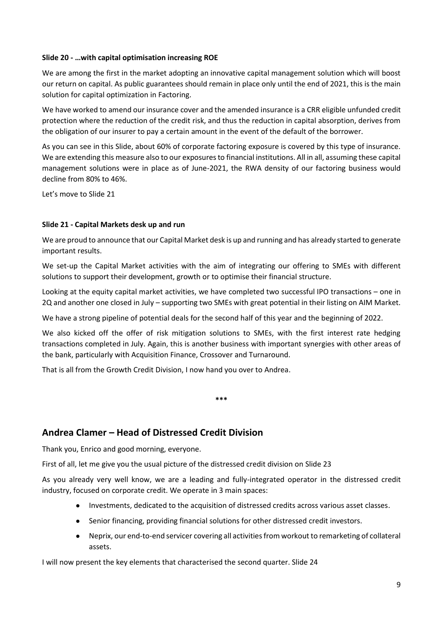#### **Slide 20 - …with capital optimisation increasing ROE**

We are among the first in the market adopting an innovative capital management solution which will boost our return on capital. As public guarantees should remain in place only until the end of 2021, this is the main solution for capital optimization in Factoring.

We have worked to amend our insurance cover and the amended insurance is a CRR eligible unfunded credit protection where the reduction of the credit risk, and thus the reduction in capital absorption, derives from the obligation of our insurer to pay a certain amount in the event of the default of the borrower.

As you can see in this Slide, about 60% of corporate factoring exposure is covered by this type of insurance. We are extending this measure also to our exposures to financial institutions. All in all, assuming these capital management solutions were in place as of June-2021, the RWA density of our factoring business would decline from 80% to 46%.

Let's move to Slide 21

#### **Slide 21 - Capital Markets desk up and run**

We are proud to announce that our Capital Market desk is up and running and has already started to generate important results.

We set-up the Capital Market activities with the aim of integrating our offering to SMEs with different solutions to support their development, growth or to optimise their financial structure.

Looking at the equity capital market activities, we have completed two successful IPO transactions – one in 2Q and another one closed in July – supporting two SMEs with great potential in their listing on AIM Market.

We have a strong pipeline of potential deals for the second half of this year and the beginning of 2022.

We also kicked off the offer of risk mitigation solutions to SMEs, with the first interest rate hedging transactions completed in July. Again, this is another business with important synergies with other areas of the bank, particularly with Acquisition Finance, Crossover and Turnaround.

**\*\*\***

That is all from the Growth Credit Division, I now hand you over to Andrea.

# **Andrea Clamer – Head of Distressed Credit Division**

Thank you, Enrico and good morning, everyone.

First of all, let me give you the usual picture of the distressed credit division on Slide 23

As you already very well know, we are a leading and fully-integrated operator in the distressed credit industry, focused on corporate credit. We operate in 3 main spaces:

- Investments, dedicated to the acquisition of distressed credits across various asset classes.
- Senior financing, providing financial solutions for other distressed credit investors.
- Neprix, our end-to-end servicer covering all activities from workout to remarketing of collateral assets.

I will now present the key elements that characterised the second quarter. Slide 24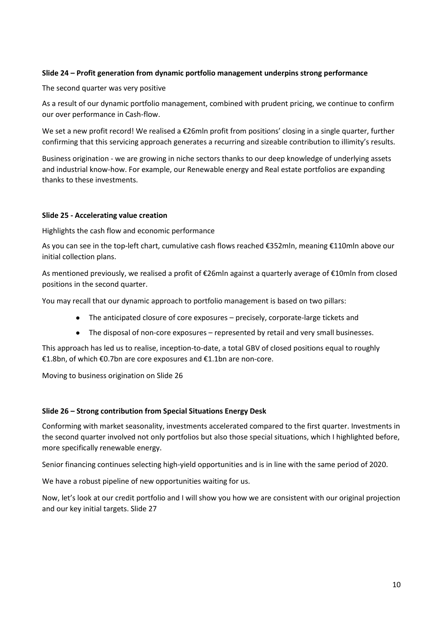# **Slide 24 – Profit generation from dynamic portfolio management underpins strong performance**

The second quarter was very positive

As a result of our dynamic portfolio management, combined with prudent pricing, we continue to confirm our over performance in Cash-flow.

We set a new profit record! We realised a €26mln profit from positions' closing in a single quarter, further confirming that this servicing approach generates a recurring and sizeable contribution to illimity's results.

Business origination - we are growing in niche sectors thanks to our deep knowledge of underlying assets and industrial know-how. For example, our Renewable energy and Real estate portfolios are expanding thanks to these investments.

#### **Slide 25 - Accelerating value creation**

Highlights the cash flow and economic performance

As you can see in the top-left chart, cumulative cash flows reached €352mln, meaning €110mln above our initial collection plans.

As mentioned previously, we realised a profit of €26mln against a quarterly average of €10mln from closed positions in the second quarter.

You may recall that our dynamic approach to portfolio management is based on two pillars:

- The anticipated closure of core exposures precisely, corporate-large tickets and
- The disposal of non-core exposures represented by retail and very small businesses.

This approach has led us to realise, inception-to-date, a total GBV of closed positions equal to roughly €1.8bn, of which €0.7bn are core exposures and €1.1bn are non-core.

Moving to business origination on Slide 26

#### **Slide 26 – Strong contribution from Special Situations Energy Desk**

Conforming with market seasonality, investments accelerated compared to the first quarter. Investments in the second quarter involved not only portfolios but also those special situations, which I highlighted before, more specifically renewable energy.

Senior financing continues selecting high-yield opportunities and is in line with the same period of 2020.

We have a robust pipeline of new opportunities waiting for us.

Now, let's look at our credit portfolio and I will show you how we are consistent with our original projection and our key initial targets. Slide 27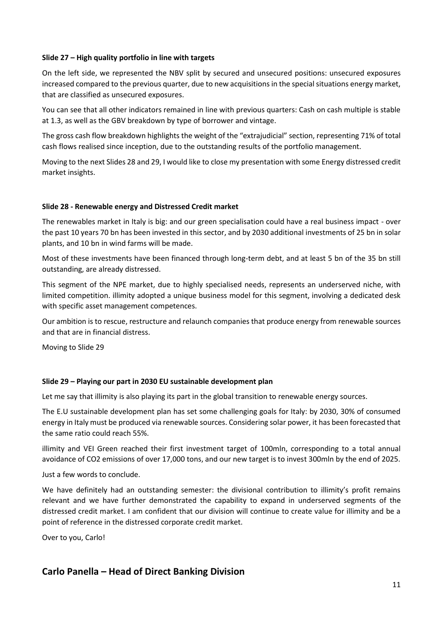#### **Slide 27 – High quality portfolio in line with targets**

On the left side, we represented the NBV split by secured and unsecured positions: unsecured exposures increased compared to the previous quarter, due to new acquisitions in the special situations energy market, that are classified as unsecured exposures.

You can see that all other indicators remained in line with previous quarters: Cash on cash multiple is stable at 1.3, as well as the GBV breakdown by type of borrower and vintage.

The gross cash flow breakdown highlights the weight of the "extrajudicial" section, representing 71% of total cash flows realised since inception, due to the outstanding results of the portfolio management.

Moving to the next Slides 28 and 29, I would like to close my presentation with some Energy distressed credit market insights.

#### **Slide 28 - Renewable energy and Distressed Credit market**

The renewables market in Italy is big: and our green specialisation could have a real business impact - over the past 10 years 70 bn has been invested in this sector, and by 2030 additional investments of 25 bn in solar plants, and 10 bn in wind farms will be made.

Most of these investments have been financed through long-term debt, and at least 5 bn of the 35 bn still outstanding, are already distressed.

This segment of the NPE market, due to highly specialised needs, represents an underserved niche, with limited competition. illimity adopted a unique business model for this segment, involving a dedicated desk with specific asset management competences.

Our ambition is to rescue, restructure and relaunch companies that produce energy from renewable sources and that are in financial distress.

Moving to Slide 29

# **Slide 29 – Playing our part in 2030 EU sustainable development plan**

Let me say that illimity is also playing its part in the global transition to renewable energy sources.

The E.U sustainable development plan has set some challenging goals for Italy: by 2030, 30% of consumed energy in Italy must be produced via renewable sources. Considering solar power, it has been forecasted that the same ratio could reach 55%.

illimity and VEI Green reached their first investment target of 100mln, corresponding to a total annual avoidance of CO2 emissions of over 17,000 tons, and our new target is to invest 300mln by the end of 2025.

Just a few words to conclude.

We have definitely had an outstanding semester: the divisional contribution to illimity's profit remains relevant and we have further demonstrated the capability to expand in underserved segments of the distressed credit market. I am confident that our division will continue to create value for illimity and be a point of reference in the distressed corporate credit market.

Over to you, Carlo!

# **Carlo Panella – Head of Direct Banking Division**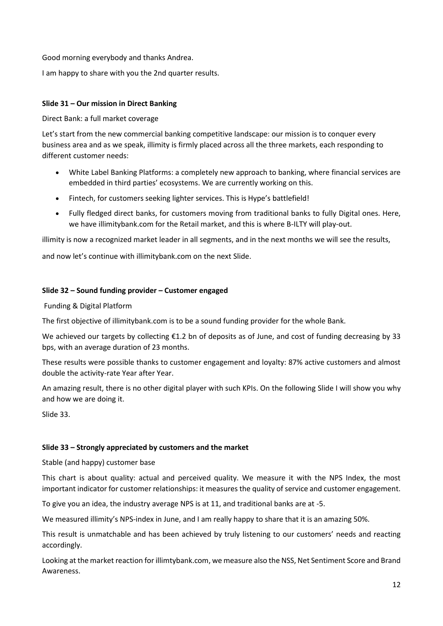Good morning everybody and thanks Andrea.

I am happy to share with you the 2nd quarter results.

# **Slide 31 – Our mission in Direct Banking**

Direct Bank: a full market coverage

Let's start from the new commercial banking competitive landscape: our mission is to conquer every business area and as we speak, illimity is firmly placed across all the three markets, each responding to different customer needs:

- White Label Banking Platforms: a completely new approach to banking, where financial services are embedded in third parties' ecosystems. We are currently working on this.
- Fintech, for customers seeking lighter services. This is Hype's battlefield!
- Fully fledged direct banks, for customers moving from traditional banks to fully Digital ones. Here, we have illimitybank.com for the Retail market, and this is where B-ILTY will play-out.

illimity is now a recognized market leader in all segments, and in the next months we will see the results,

and now let's continue with illimitybank.com on the next Slide.

#### **Slide 32 – Sound funding provider – Customer engaged**

Funding & Digital Platform

The first objective of illimitybank.com is to be a sound funding provider for the whole Bank.

We achieved our targets by collecting €1.2 bn of deposits as of June, and cost of funding decreasing by 33 bps, with an average duration of 23 months.

These results were possible thanks to customer engagement and loyalty: 87% active customers and almost double the activity-rate Year after Year.

An amazing result, there is no other digital player with such KPIs. On the following Slide I will show you why and how we are doing it.

Slide 33.

# **Slide 33 – Strongly appreciated by customers and the market**

Stable (and happy) customer base

This chart is about quality: actual and perceived quality. We measure it with the NPS Index, the most important indicator for customer relationships: it measures the quality of service and customer engagement.

To give you an idea, the industry average NPS is at 11, and traditional banks are at -5.

We measured illimity's NPS-index in June, and I am really happy to share that it is an amazing 50%.

This result is unmatchable and has been achieved by truly listening to our customers' needs and reacting accordingly.

Looking at the market reaction for illimtybank.com, we measure also the NSS, Net Sentiment Score and Brand Awareness.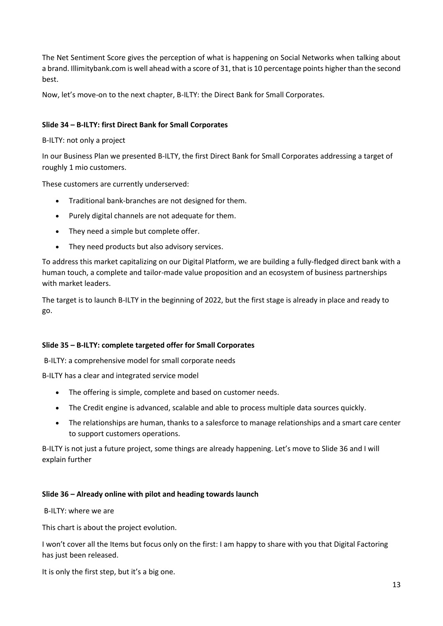The Net Sentiment Score gives the perception of what is happening on Social Networks when talking about a brand. Illimitybank.com is well ahead with a score of 31, that is 10 percentage points higher than the second best.

Now, let's move-on to the next chapter, B-ILTY: the Direct Bank for Small Corporates.

### **Slide 34 – B-ILTY: first Direct Bank for Small Corporates**

B-ILTY: not only a project

In our Business Plan we presented B-ILTY, the first Direct Bank for Small Corporates addressing a target of roughly 1 mio customers.

These customers are currently underserved:

- Traditional bank-branches are not designed for them.
- Purely digital channels are not adequate for them.
- They need a simple but complete offer.
- They need products but also advisory services.

To address this market capitalizing on our Digital Platform, we are building a fully-fledged direct bank with a human touch, a complete and tailor-made value proposition and an ecosystem of business partnerships with market leaders.

The target is to launch B-ILTY in the beginning of 2022, but the first stage is already in place and ready to go.

#### **Slide 35 – B-ILTY: complete targeted offer for Small Corporates**

B-ILTY: a comprehensive model for small corporate needs

B-ILTY has a clear and integrated service model

- The offering is simple, complete and based on customer needs.
- The Credit engine is advanced, scalable and able to process multiple data sources quickly.
- The relationships are human, thanks to a salesforce to manage relationships and a smart care center to support customers operations.

B-ILTY is not just a future project, some things are already happening. Let's move to Slide 36 and I will explain further

#### **Slide 36 – Already online with pilot and heading towards launch**

B-ILTY: where we are

This chart is about the project evolution.

I won't cover all the Items but focus only on the first: I am happy to share with you that Digital Factoring has just been released.

It is only the first step, but it's a big one.